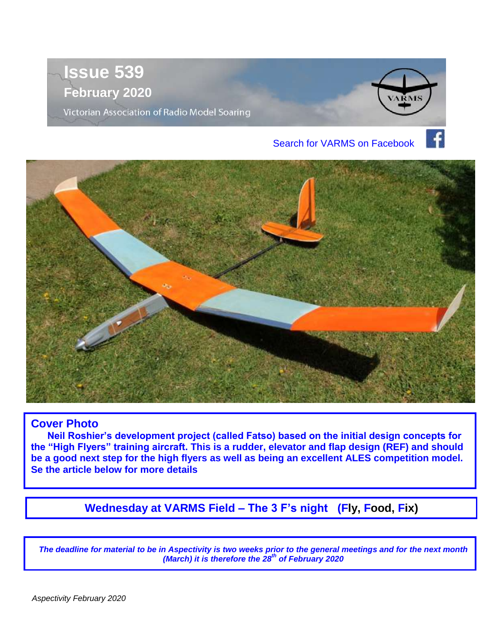



### **Cover Photo**

 **Neil Roshier's development project (called Fatso) based on the initial design concepts for the "High Flyers" training aircraft. This is a rudder, elevator and flap design (REF) and should be a good next step for the high flyers as well as being an excellent ALES competition model. Se the article below for more details**

**Wednesday at VARMS Field – The 3 F's night (Fly, Food, Fix)**

*The deadline for material to be in Aspectivity is two weeks prior to the general meetings and for the next month (March) it is therefore the 28th of February 2020*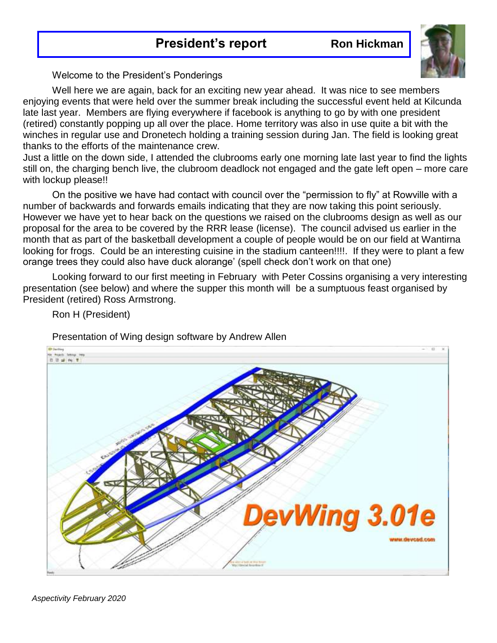### **President's report Kon Hickman**



Welcome to the President's Ponderings

Well here we are again, back for an exciting new year ahead. It was nice to see members enjoying events that were held over the summer break including the successful event held at Kilcunda late last year. Members are flying everywhere if facebook is anything to go by with one president (retired) constantly popping up all over the place. Home territory was also in use quite a bit with the winches in regular use and Dronetech holding a training session during Jan. The field is looking great thanks to the efforts of the maintenance crew.

Just a little on the down side, I attended the clubrooms early one morning late last year to find the lights still on, the charging bench live, the clubroom deadlock not engaged and the gate left open – more care with lockup please!!

On the positive we have had contact with council over the "permission to fly" at Rowville with a number of backwards and forwards emails indicating that they are now taking this point seriously. However we have yet to hear back on the questions we raised on the clubrooms design as well as our proposal for the area to be covered by the RRR lease (license). The council advised us earlier in the month that as part of the basketball development a couple of people would be on our field at Wantirna looking for frogs. Could be an interesting cuisine in the stadium canteen!!!!. If they were to plant a few orange trees they could also have duck alorange' (spell check don't work on that one)

Looking forward to our first meeting in February with Peter Cossins organising a very interesting presentation (see below) and where the supper this month will be a sumptuous feast organised by President (retired) Ross Armstrong.



Ron H (President)

Presentation of Wing design software by Andrew Allen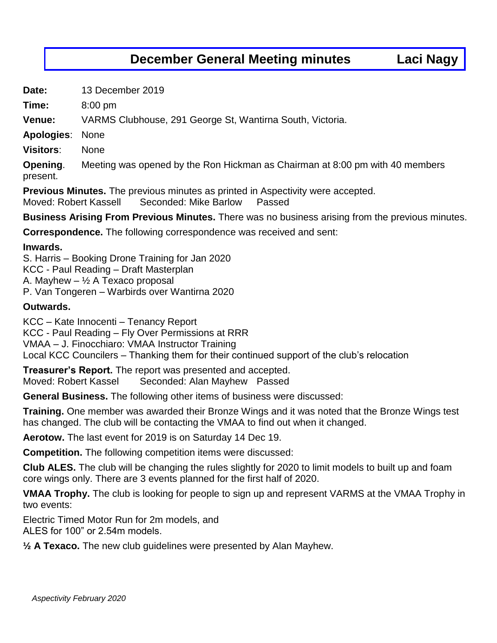### **December General Meeting minutes Laci Nagy**

**Date:** 13 December 2019

**Time:** 8:00 pm

**Venue:** VARMS Clubhouse, 291 George St, Wantirna South, Victoria.

**Apologies**: None

**Visitors**: None

**Opening**. Meeting was opened by the Ron Hickman as Chairman at 8:00 pm with 40 members present.

**Previous Minutes.** The previous minutes as printed in Aspectivity were accepted.

Moved: Robert Kassell Seconded: Mike Barlow Passed

**Business Arising From Previous Minutes.** There was no business arising from the previous minutes.

**Correspondence.** The following correspondence was received and sent:

#### **Inwards.**

S. Harris – Booking Drone Training for Jan 2020 KCC - Paul Reading – Draft Masterplan A. Mayhew  $\frac{1}{2}$  A Texaco proposal P. Van Tongeren – Warbirds over Wantirna 2020

#### **Outwards.**

KCC – Kate Innocenti – Tenancy Report KCC - Paul Reading – Fly Over Permissions at RRR VMAA – J. Finocchiaro: VMAA Instructor Training Local KCC Councilers – Thanking them for their continued support of the club's relocation

**Treasurer's Report.** The report was presented and accepted. Moved: Robert Kassel Seconded: Alan Mayhew Passed

**General Business.** The following other items of business were discussed:

**Training.** One member was awarded their Bronze Wings and it was noted that the Bronze Wings test has changed. The club will be contacting the VMAA to find out when it changed.

**Aerotow.** The last event for 2019 is on Saturday 14 Dec 19.

**Competition.** The following competition items were discussed:

**Club ALES.** The club will be changing the rules slightly for 2020 to limit models to built up and foam core wings only. There are 3 events planned for the first half of 2020.

**VMAA Trophy.** The club is looking for people to sign up and represent VARMS at the VMAA Trophy in two events:

Electric Timed Motor Run for 2m models, and ALES for 100" or 2.54m models.

**½ A Texaco.** The new club guidelines were presented by Alan Mayhew.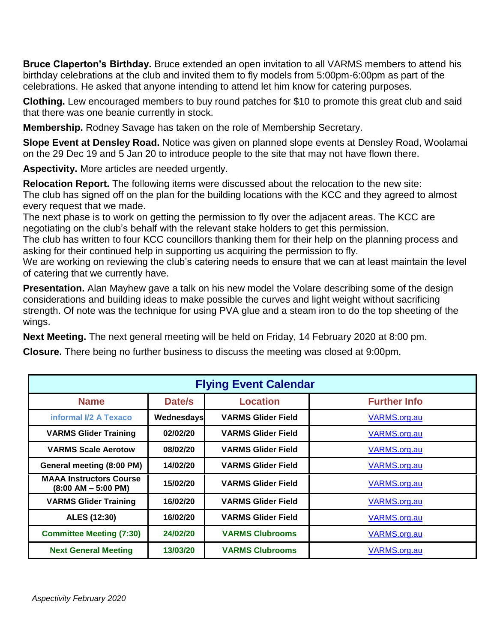**Bruce Claperton's Birthday.** Bruce extended an open invitation to all VARMS members to attend his birthday celebrations at the club and invited them to fly models from 5:00pm-6:00pm as part of the celebrations. He asked that anyone intending to attend let him know for catering purposes.

**Clothing.** Lew encouraged members to buy round patches for \$10 to promote this great club and said that there was one beanie currently in stock.

**Membership.** Rodney Savage has taken on the role of Membership Secretary.

**Slope Event at Densley Road.** Notice was given on planned slope events at Densley Road, Woolamai on the 29 Dec 19 and 5 Jan 20 to introduce people to the site that may not have flown there.

**Aspectivity.** More articles are needed urgently.

**Relocation Report.** The following items were discussed about the relocation to the new site: The club has signed off on the plan for the building locations with the KCC and they agreed to almost every request that we made.

The next phase is to work on getting the permission to fly over the adjacent areas. The KCC are negotiating on the club's behalf with the relevant stake holders to get this permission.

The club has written to four KCC councillors thanking them for their help on the planning process and asking for their continued help in supporting us acquiring the permission to fly.

We are working on reviewing the club's catering needs to ensure that we can at least maintain the level of catering that we currently have.

**Presentation.** Alan Mayhew gave a talk on his new model the Volare describing some of the design considerations and building ideas to make possible the curves and light weight without sacrificing strength. Of note was the technique for using PVA glue and a steam iron to do the top sheeting of the wings.

**Next Meeting.** The next general meeting will be held on Friday, 14 February 2020 at 8:00 pm.

**Closure.** There being no further business to discuss the meeting was closed at 9:00pm.

| <b>Flying Event Calendar</b>                            |            |                           |                     |  |  |  |  |
|---------------------------------------------------------|------------|---------------------------|---------------------|--|--|--|--|
| <b>Name</b>                                             | Date/s     | <b>Location</b>           | <b>Further Info</b> |  |  |  |  |
| informal I/2 A Texaco                                   | Wednesdays | <b>VARMS Glider Field</b> | VARMS.org.au        |  |  |  |  |
| <b>VARMS Glider Training</b>                            | 02/02/20   | <b>VARMS Glider Field</b> | VARMS.org.au        |  |  |  |  |
| <b>VARMS Scale Aerotow</b>                              | 08/02/20   | <b>VARMS Glider Field</b> | VARMS.org.au        |  |  |  |  |
| General meeting (8:00 PM)                               | 14/02/20   | <b>VARMS Glider Field</b> | VARMS.org.au        |  |  |  |  |
| <b>MAAA Instructors Course</b><br>$(8:00 AM - 5:00 PM)$ | 15/02/20   | <b>VARMS Glider Field</b> | VARMS.org.au        |  |  |  |  |
| <b>VARMS Glider Training</b>                            | 16/02/20   | <b>VARMS Glider Field</b> | VARMS.org.au        |  |  |  |  |
| ALES (12:30)                                            | 16/02/20   | <b>VARMS Glider Field</b> | VARMS.org.au        |  |  |  |  |
| <b>Committee Meeting (7:30)</b>                         | 24/02/20   | <b>VARMS Clubrooms</b>    | VARMS.org.au        |  |  |  |  |
| <b>Next General Meeting</b>                             | 13/03/20   | <b>VARMS Clubrooms</b>    | VARMS.org.au        |  |  |  |  |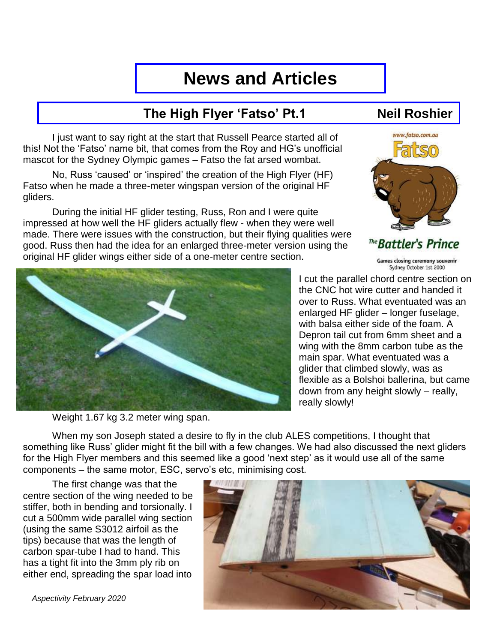# **News and Articles**

## **The High Flyer 'Fatso' Pt.1 Neil Roshier**

I just want to say right at the start that Russell Pearce started all of this! Not the 'Fatso' name bit, that comes from the Roy and HG's unofficial mascot for the Sydney Olympic games – Fatso the fat arsed wombat.

No, Russ 'caused' or 'inspired' the creation of the High Flyer (HF) Fatso when he made a three-meter wingspan version of the original HF gliders.

During the initial HF glider testing, Russ, Ron and I were quite impressed at how well the HF gliders actually flew - when they were well made. There were issues with the construction, but their flying qualities were good. Russ then had the idea for an enlarged three-meter version using the original HF glider wings either side of a one-meter centre section.



Weight 1.67 kg 3.2 meter wing span.



The **Battler's Prince** 

Games closing ceremony souvenir Sydney October 1st 2000

I cut the parallel chord centre section on the CNC hot wire cutter and handed it over to Russ. What eventuated was an enlarged HF glider – longer fuselage, with balsa either side of the foam. A Depron tail cut from 6mm sheet and a wing with the 8mm carbon tube as the main spar. What eventuated was a glider that climbed slowly, was as flexible as a Bolshoi ballerina, but came down from any height slowly – really, really slowly!

When my son Joseph stated a desire to fly in the club ALES competitions, I thought that something like Russ' glider might fit the bill with a few changes. We had also discussed the next gliders for the High Flyer members and this seemed like a good 'next step' as it would use all of the same components – the same motor, ESC, servo's etc, minimising cost.

The first change was that the centre section of the wing needed to be stiffer, both in bending and torsionally. I cut a 500mm wide parallel wing section (using the same S3012 airfoil as the tips) because that was the length of carbon spar-tube I had to hand. This has a tight fit into the 3mm ply rib on either end, spreading the spar load into



 *Aspectivity February 2020*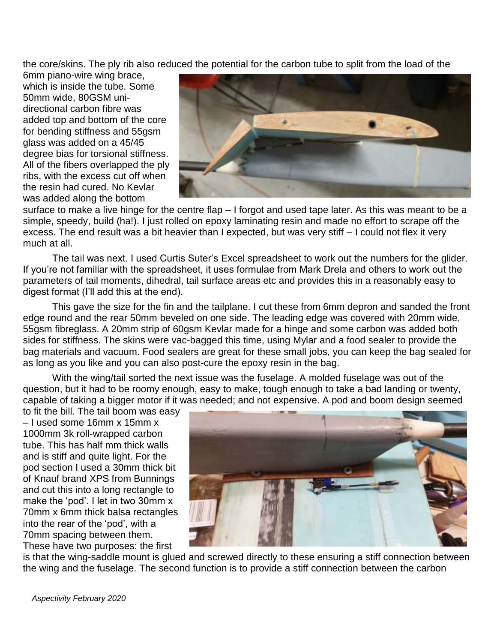the core/skins. The ply rib also reduced the potential for the carbon tube to split from the load of the

6mm piano-wire wing brace, which is inside the tube. Some 50mm wide, 80GSM unidirectional carbon fibre was added top and bottom of the core for bending stiffness and 55gsm glass was added on a 45/45 degree bias for torsional stiffness. All of the fibers overlapped the ply ribs, with the excess cut off when the resin had cured. No Kevlar was added along the bottom



surface to make a live hinge for the centre flap – I forgot and used tape later. As this was meant to be a simple, speedy, build (ha!). I just rolled on epoxy laminating resin and made no effort to scrape off the excess. The end result was a bit heavier than I expected, but was very stiff – I could not flex it very much at all.

The tail was next. I used Curtis Suter's Excel spreadsheet to work out the numbers for the glider. If you're not familiar with the spreadsheet, it uses formulae from Mark Drela and others to work out the parameters of tail moments, dihedral, tail surface areas etc and provides this in a reasonably easy to digest format (I'll add this at the end).

This gave the size for the fin and the tailplane. I cut these from 6mm depron and sanded the front edge round and the rear 50mm beveled on one side. The leading edge was covered with 20mm wide, 55gsm fibreglass. A 20mm strip of 60gsm Kevlar made for a hinge and some carbon was added both sides for stiffness. The skins were vac-bagged this time, using Mylar and a food sealer to provide the bag materials and vacuum. Food sealers are great for these small jobs, you can keep the bag sealed for as long as you like and you can also post-cure the epoxy resin in the bag.

With the wing/tail sorted the next issue was the fuselage. A molded fuselage was out of the question, but it had to be roomy enough, easy to make, tough enough to take a bad landing or twenty, capable of taking a bigger motor if it was needed; and not expensive. A pod and boom design seemed

to fit the bill. The tail boom was easy – I used some 16mm x 15mm x 1000mm 3k roll-wrapped carbon tube. This has half mm thick walls and is stiff and quite light. For the pod section I used a 30mm thick bit of Knauf brand XPS from Bunnings and cut this into a long rectangle to make the 'pod'. I let in two 30mm x 70mm x 6mm thick balsa rectangles into the rear of the 'pod', with a 70mm spacing between them. These have two purposes: the first



is that the wing-saddle mount is glued and screwed directly to these ensuring a stiff connection between the wing and the fuselage. The second function is to provide a stiff connection between the carbon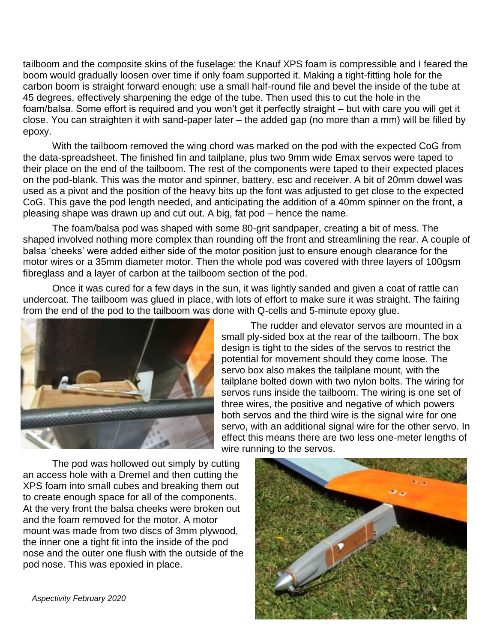tailboom and the composite skins of the fuselage: the Knauf XPS foam is compressible and I feared the boom would gradually loosen over time if only foam supported it. Making a tight-fitting hole for the carbon boom is straight forward enough: use a small half-round file and bevel the inside of the tube at 45 degrees, effectively sharpening the edge of the tube. Then used this to cut the hole in the foam/balsa. Some effort is required and you won't get it perfectly straight – but with care you will get it close. You can straighten it with sand-paper later – the added gap (no more than a mm) will be filled by epoxy.

With the tailboom removed the wing chord was marked on the pod with the expected CoG from the data-spreadsheet. The finished fin and tailplane, plus two 9mm wide Emax servos were taped to their place on the end of the tailboom. The rest of the components were taped to their expected places on the pod-blank. This was the motor and spinner, battery, esc and receiver. A bit of 20mm dowel was used as a pivot and the position of the heavy bits up the font was adjusted to get close to the expected CoG. This gave the pod length needed, and anticipating the addition of a 40mm spinner on the front, a pleasing shape was drawn up and cut out. A big, fat pod – hence the name.

The foam/balsa pod was shaped with some 80-grit sandpaper, creating a bit of mess. The shaped involved nothing more complex than rounding off the front and streamlining the rear. A couple of balsa 'cheeks' were added either side of the motor position just to ensure enough clearance for the motor wires or a 35mm diameter motor. Then the whole pod was covered with three layers of 100gsm fibreglass and a layer of carbon at the tailboom section of the pod.

Once it was cured for a few days in the sun, it was lightly sanded and given a coat of rattle can undercoat. The tailboom was glued in place, with lots of effort to make sure it was straight. The fairing from the end of the pod to the tailboom was done with Q-cells and 5-minute epoxy glue.



The rudder and elevator servos are mounted in a small ply-sided box at the rear of the tailboom. The box design is tight to the sides of the servos to restrict the potential for movement should they come loose. The servo box also makes the tailplane mount, with the tailplane bolted down with two nylon bolts. The wiring for servos runs inside the tailboom. The wiring is one set of three wires, the positive and negative of which powers both servos and the third wire is the signal wire for one servo, with an additional signal wire for the other servo. In effect this means there are two less one-meter lengths of wire running to the servos.

The pod was hollowed out simply by cutting an access hole with a Dremel and then cutting the XPS foam into small cubes and breaking them out to create enough space for all of the components. At the very front the balsa cheeks were broken out and the foam removed for the motor. A motor mount was made from two discs of 3mm plywood, the inner one a tight fit into the inside of the pod nose and the outer one flush with the outside of the pod nose. This was epoxied in place.



 *Aspectivity February 2020*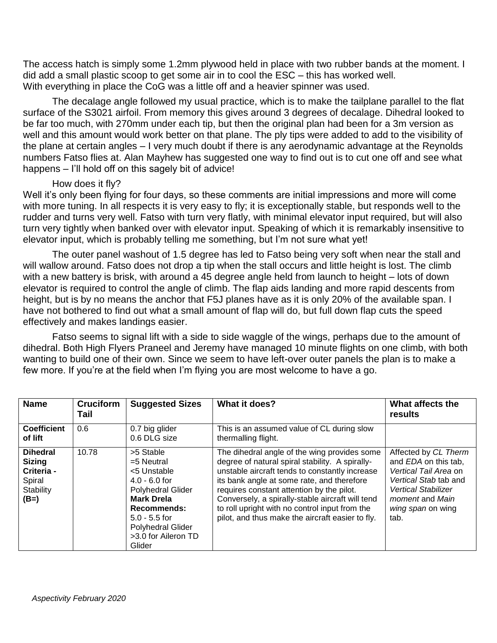The access hatch is simply some 1.2mm plywood held in place with two rubber bands at the moment. I did add a small plastic scoop to get some air in to cool the ESC – this has worked well. With everything in place the CoG was a little off and a heavier spinner was used.

The decalage angle followed my usual practice, which is to make the tailplane parallel to the flat surface of the S3021 airfoil. From memory this gives around 3 degrees of decalage. Dihedral looked to be far too much, with 270mm under each tip, but then the original plan had been for a 3m version as well and this amount would work better on that plane. The ply tips were added to add to the visibility of the plane at certain angles – I very much doubt if there is any aerodynamic advantage at the Reynolds numbers Fatso flies at. Alan Mayhew has suggested one way to find out is to cut one off and see what happens – I'll hold off on this sagely bit of advice!

#### How does it fly?

Well it's only been flying for four days, so these comments are initial impressions and more will come with more tuning. In all respects it is very easy to fly; it is exceptionally stable, but responds well to the rudder and turns very well. Fatso with turn very flatly, with minimal elevator input required, but will also turn very tightly when banked over with elevator input. Speaking of which it is remarkably insensitive to elevator input, which is probably telling me something, but I'm not sure what yet!

The outer panel washout of 1.5 degree has led to Fatso being very soft when near the stall and will wallow around. Fatso does not drop a tip when the stall occurs and little height is lost. The climb with a new battery is brisk, with around a 45 degree angle held from launch to height – lots of down elevator is required to control the angle of climb. The flap aids landing and more rapid descents from height, but is by no means the anchor that F5J planes have as it is only 20% of the available span. I have not bothered to find out what a small amount of flap will do, but full down flap cuts the speed effectively and makes landings easier.

Fatso seems to signal lift with a side to side waggle of the wings, perhaps due to the amount of dihedral. Both High Flyers Praneel and Jeremy have managed 10 minute flights on one climb, with both wanting to build one of their own. Since we seem to have left-over outer panels the plan is to make a few more. If you're at the field when I'm flying you are most welcome to have a go.

| <b>Name</b>                                                                     | <b>Cruciform</b><br>Tail | <b>Suggested Sizes</b>                                                                                                                                                                               | What it does?                                                                                                                                                                                                                                                                                                                                                                                          | What affects the<br>results                                                                                                                                                                |
|---------------------------------------------------------------------------------|--------------------------|------------------------------------------------------------------------------------------------------------------------------------------------------------------------------------------------------|--------------------------------------------------------------------------------------------------------------------------------------------------------------------------------------------------------------------------------------------------------------------------------------------------------------------------------------------------------------------------------------------------------|--------------------------------------------------------------------------------------------------------------------------------------------------------------------------------------------|
| <b>Coefficient</b><br>of lift                                                   | 0.6                      | 0.7 big glider<br>0.6 DLG size                                                                                                                                                                       | This is an assumed value of CL during slow<br>thermalling flight.                                                                                                                                                                                                                                                                                                                                      |                                                                                                                                                                                            |
| <b>Dihedral</b><br><b>Sizing</b><br>Criteria -<br>Spiral<br>Stability<br>$(B=)$ | 10.78                    | >5 Stable<br>$=5$ Neutral<br><5 Unstable<br>$4.0 - 6.0$ for<br>Polyhedral Glider<br><b>Mark Drela</b><br><b>Recommends:</b><br>$5.0 - 5.5$ for<br>Polyhedral Glider<br>>3.0 for Aileron TD<br>Glider | The dihedral angle of the wing provides some<br>degree of natural spiral stability. A spirally-<br>unstable aircraft tends to constantly increase<br>its bank angle at some rate, and therefore<br>requires constant attention by the pilot.<br>Conversely, a spirally-stable aircraft will tend<br>to roll upright with no control input from the<br>pilot, and thus make the aircraft easier to fly. | Affected by CL Therm<br>and EDA on this tab.<br>Vertical Tail Area on<br>Vertical Stab tab and<br><b>Vertical Stabilizer</b><br><i>moment</i> and <i>Main</i><br>wing span on wing<br>tab. |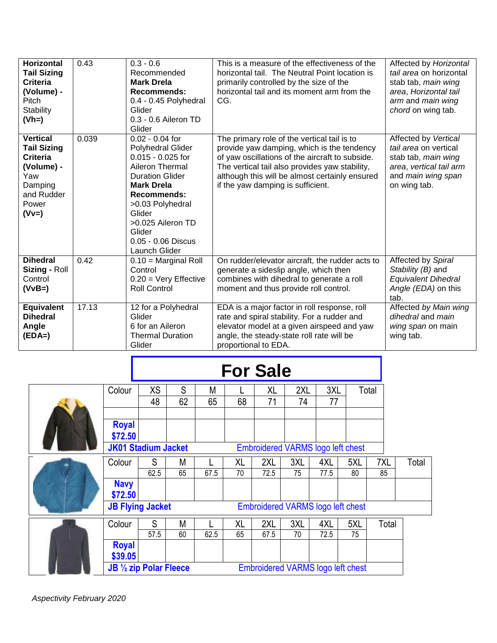| <b>Horizontal</b><br><b>Tail Sizing</b><br>Criteria<br>(Volume) -<br>Pitch<br><b>Stability</b><br>$(Vh=)$                  | 0.43  | $0.3 - 0.6$<br>Recommended<br><b>Mark Drela</b><br><b>Recommends:</b><br>0.4 - 0.45 Polyhedral<br>Glider<br>0.3 - 0.6 Aileron TD<br>Glider                                                                                                                       | This is a measure of the effectiveness of the<br>horizontal tail. The Neutral Point location is<br>primarily controlled by the size of the<br>horizontal tail and its moment arm from the<br>CG.                                                                                      | Affected by Horizontal<br>tail area on horizontal<br>stab tab, main wing<br>area, Horizontal tail<br>arm and main wing<br>chord on wing tab. |
|----------------------------------------------------------------------------------------------------------------------------|-------|------------------------------------------------------------------------------------------------------------------------------------------------------------------------------------------------------------------------------------------------------------------|---------------------------------------------------------------------------------------------------------------------------------------------------------------------------------------------------------------------------------------------------------------------------------------|----------------------------------------------------------------------------------------------------------------------------------------------|
| <b>Vertical</b><br><b>Tail Sizing</b><br><b>Criteria</b><br>(Volume) -<br>Yaw<br>Damping<br>and Rudder<br>Power<br>$(Vv=)$ | 0.039 | $0.02 - 0.04$ for<br><b>Polyhedral Glider</b><br>$0.015 - 0.025$ for<br>Aileron Thermal<br><b>Duration Glider</b><br><b>Mark Drela</b><br><b>Recommends:</b><br>>0.03 Polyhedral<br>Glider<br>>0.025 Aileron TD<br>Glider<br>0.05 - 0.06 Discus<br>Launch Glider | The primary role of the vertical tail is to<br>provide yaw damping, which is the tendency<br>of yaw oscillations of the aircraft to subside.<br>The vertical tail also provides yaw stability,<br>although this will be almost certainly ensured<br>if the yaw damping is sufficient. | Affected by Vertical<br>tail area on vertical<br>stab tab, main wing<br>area, vertical tail arm<br>and main wing span<br>on wing tab.        |
| <b>Dihedral</b><br>Sizing - Roll<br>Control<br>$(VvB=)$                                                                    | 0.42  | $0.10 =$ Marginal Roll<br>Control<br>$0.20 = \text{Very Effective}$<br><b>Roll Control</b>                                                                                                                                                                       | On rudder/elevator aircraft, the rudder acts to<br>generate a sideslip angle, which then<br>combines with dihedral to generate a roll<br>moment and thus provide roll control.                                                                                                        | Affected by Spiral<br>Stability (B) and<br><b>Equivalent Dihedral</b><br>Angle (EDA) on this<br>tab.                                         |
| <b>Equivalent</b><br><b>Dihedral</b><br>Angle<br>$(EDA=)$                                                                  | 17.13 | 12 for a Polyhedral<br>Glider<br>6 for an Aileron<br><b>Thermal Duration</b><br>Glider                                                                                                                                                                           | EDA is a major factor in roll response, roll<br>rate and spiral stability. For a rudder and<br>elevator model at a given airspeed and yaw<br>angle, the steady-state roll rate will be<br>proportional to EDA.                                                                        | Affected by Main wing<br>dihedral and main<br>wing span on main<br>wing tab.                                                                 |

# **For Sale**

|                                                                     | Colour                     | <b>XS</b> | S  | M    |    | XL   | 2XL                                      | 3XL  |     | Total |       |
|---------------------------------------------------------------------|----------------------------|-----------|----|------|----|------|------------------------------------------|------|-----|-------|-------|
|                                                                     |                            | 48        | 62 | 65   | 68 | 71   | 74                                       | 77   |     |       |       |
|                                                                     |                            |           |    |      |    |      |                                          |      |     |       |       |
|                                                                     | <b>Royal</b>               |           |    |      |    |      |                                          |      |     |       |       |
|                                                                     | \$72.50                    |           |    |      |    |      |                                          |      |     |       |       |
|                                                                     | <b>JK01 Stadium Jacket</b> |           |    |      |    |      | <b>Embroidered VARMS logo left chest</b> |      |     |       |       |
|                                                                     | Colour                     | S         | M  |      | XL | 2XL  | 3XL                                      | 4XL  | 5XL | 7XL   | Total |
|                                                                     |                            | 62.5      | 65 | 67.5 | 70 | 72.5 | 75                                       | 77.5 | 80  | 85    |       |
|                                                                     | <b>Navy</b>                |           |    |      |    |      |                                          |      |     |       |       |
|                                                                     | \$72.50                    |           |    |      |    |      |                                          |      |     |       |       |
|                                                                     | <b>JB Flying Jacket</b>    |           |    |      |    |      | Embroidered VARMS logo left chest        |      |     |       |       |
|                                                                     | Colour                     | S         | M  |      | XL | 2XL  | 3XL                                      | 4XL  | 5XL | Total |       |
|                                                                     |                            | 57.5      | 60 | 62.5 | 65 | 67.5 | 70                                       | 72.5 | 75  |       |       |
|                                                                     | <b>Royal</b>               |           |    |      |    |      |                                          |      |     |       |       |
|                                                                     | \$39.05                    |           |    |      |    |      |                                          |      |     |       |       |
| JB 1/2 zip Polar Fleece<br><b>Embroidered VARMS logo left chest</b> |                            |           |    |      |    |      |                                          |      |     |       |       |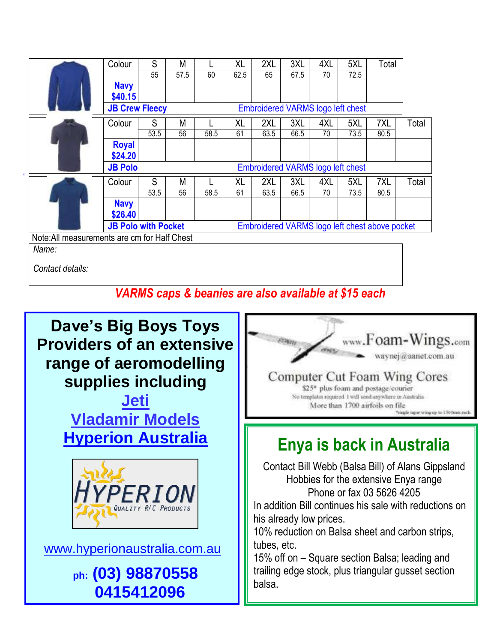|                                              | Colour                     | S    | M    |      | XL        | 2XL  | 3XL  | 4XL | 5XL                                      | Total                                          |       |
|----------------------------------------------|----------------------------|------|------|------|-----------|------|------|-----|------------------------------------------|------------------------------------------------|-------|
|                                              |                            | 55   | 57.5 | 60   | 62.5      | 65   | 67.5 | 70  | 72.5                                     |                                                |       |
|                                              | <b>Navy</b>                |      |      |      |           |      |      |     |                                          |                                                |       |
|                                              | \$40.15                    |      |      |      |           |      |      |     |                                          |                                                |       |
|                                              | <b>JB Crew Fleecy</b>      |      |      |      |           |      |      |     | <b>Embroidered VARMS logo left chest</b> |                                                |       |
|                                              | Colour                     | S    | M    |      | <b>XL</b> | 2XL  | 3XL  | 4XL | 5XL                                      | 7XL                                            | Total |
|                                              |                            | 53.5 | 56   | 58.5 | 61        | 63.5 | 66.5 | 70  | 73.5                                     | 80.5                                           |       |
|                                              | <b>Royal</b>               |      |      |      |           |      |      |     |                                          |                                                |       |
|                                              | \$24.20                    |      |      |      |           |      |      |     |                                          |                                                |       |
|                                              | <b>JB Polo</b>             |      |      |      |           |      |      |     | Embroidered VARMS logo left chest        |                                                |       |
|                                              | Colour                     | S    | M    |      | XL        | 2XL  | 3XL  | 4XL | 5XL                                      | 7XL                                            | Total |
|                                              |                            | 53.5 | 56   | 58.5 | 61        | 63.5 | 66.5 | 70  | 73.5                                     | 80.5                                           |       |
|                                              | <b>Navy</b>                |      |      |      |           |      |      |     |                                          |                                                |       |
|                                              | \$26.40                    |      |      |      |           |      |      |     |                                          |                                                |       |
|                                              | <b>JB Polo with Pocket</b> |      |      |      |           |      |      |     |                                          | Embroidered VARMS logo left chest above pocket |       |
| Note: All measurements are cm for Half Chest |                            |      |      |      |           |      |      |     |                                          |                                                |       |
| Name:                                        |                            |      |      |      |           |      |      |     |                                          |                                                |       |
| Contact details:                             |                            |      |      |      |           |      |      |     |                                          |                                                |       |

### *VARMS caps & beanies are also available at \$15 each*



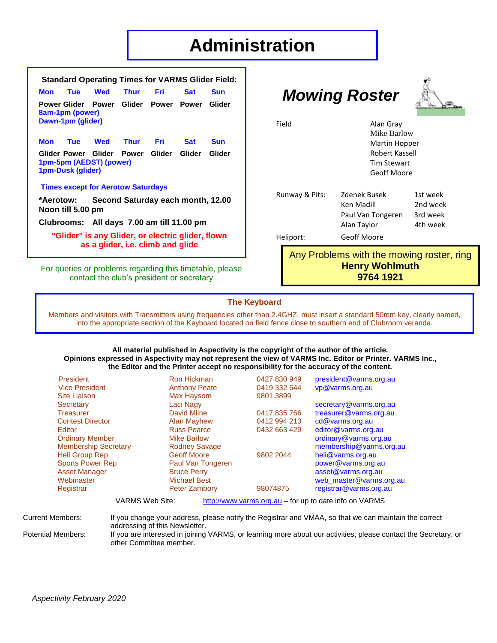# **Administration**

| <b>Standard Operating Times for VARMS Glider Field:</b>                                |                                                                                                |                                              |  |              |  |            |  |  |
|----------------------------------------------------------------------------------------|------------------------------------------------------------------------------------------------|----------------------------------------------|--|--------------|--|------------|--|--|
| Mon                                                                                    | <b>Tue</b>                                                                                     | Wed                                          |  | Thur Fri Sat |  | <b>Sun</b> |  |  |
|                                                                                        | 8am-1pm (power)<br>Dawn-1pm (glider)                                                           | Power Glider Power Glider Power Power Glider |  |              |  |            |  |  |
|                                                                                        |                                                                                                | Mon Tue Wed Thur Fri Sat                     |  |              |  | <b>Sun</b> |  |  |
|                                                                                        | Glider Power Glider Power Glider Glider Glider<br>1pm-5pm (AEDST) (power)<br>1pm-Dusk (glider) |                                              |  |              |  |            |  |  |
|                                                                                        |                                                                                                | <b>Times except for Aerotow Saturdays</b>    |  |              |  |            |  |  |
| *Aerotow: Second Saturday each month, 12.00<br>Noon till 5.00 pm                       |                                                                                                |                                              |  |              |  |            |  |  |
|                                                                                        | Clubrooms: All days 7.00 am till 11.00 pm                                                      |                                              |  |              |  |            |  |  |
| "Glider" is any Glider, or electric glider, flown<br>as a glider, i.e. climb and glide |                                                                                                |                                              |  |              |  |            |  |  |

For queries or problems regarding this timetable, please contact the club's president or secretary

# *Mowing Roster*



Field Alan Gray

| Runway & Pits:                      | <b>Zdenek Busek</b><br>Ken Madill<br>Paul Van Tongeren | 1st week<br>2nd week<br>3rd week |  |  |  |  |
|-------------------------------------|--------------------------------------------------------|----------------------------------|--|--|--|--|
|                                     | Alan Taylor                                            | 4th week                         |  |  |  |  |
| Heliport:                           | Geoff Moore                                            |                                  |  |  |  |  |
| Any Probleme with the mowing roctor |                                                        |                                  |  |  |  |  |

Any Problems with the mowing roster, ring **Henry Wohlmuth 9764 1921**

 Mike Barlow Martin Hopper Robert Kassell Tim Stewart Geoff Moore

#### **The Keyboard**

Members and visitors with Transmitters using frequencies other than 2.4GHZ, must insert a standard 50mm key, clearly named, into the appropriate section of the Keyboard located on field fence close to southern end of Clubroom veranda.

#### **All material published in Aspectivity is the copyright of the author of the article. Opinions expressed in Aspectivity may not represent the view of VARMS Inc. Editor or Printer. VARMS Inc., the Editor and the Printer accept no responsibility for the accuracy of the content.**

| <b>President</b>                                                                | <b>Ron Hickman</b>   | 0427 830 949 | president@varms.org.au  |  |  |  |
|---------------------------------------------------------------------------------|----------------------|--------------|-------------------------|--|--|--|
| <b>Vice President</b>                                                           | <b>Anthony Peate</b> | 0419 332 644 | vp@varms.org.au         |  |  |  |
| <b>Site Liaison</b>                                                             | Max Haysom           | 9801 3899    |                         |  |  |  |
| Secretary                                                                       | Laci Nagy            |              | secretary@varms.org.au  |  |  |  |
| <b>Treasurer</b>                                                                | David Milne          | 0417 835 766 | treasurer@varms.org.au  |  |  |  |
| <b>Contest Director</b>                                                         | Alan Mayhew          | 0412 994 213 | cd@varms.org.au         |  |  |  |
| Editor                                                                          | <b>Russ Pearce</b>   | 0432 663 429 | editor@varms.org.au     |  |  |  |
| <b>Ordinary Member</b>                                                          | <b>Mike Barlow</b>   |              | ordinary@varms.org.au   |  |  |  |
| <b>Membership Secretary</b>                                                     | <b>Rodney Savage</b> |              | membership@varms.org.au |  |  |  |
| <b>Heli Group Rep</b>                                                           | <b>Geoff Moore</b>   | 9802 2044    | heli@varms.org.au       |  |  |  |
| <b>Sports Power Rep</b>                                                         | Paul Van Tongeren    |              | power@varms.org.au      |  |  |  |
| <b>Asset Manager</b>                                                            | <b>Bruce Perry</b>   |              | asset@varms.org.au      |  |  |  |
| Webmaster                                                                       | <b>Michael Best</b>  |              | web_master@varms.org.au |  |  |  |
| Registrar                                                                       | <b>Peter Zambory</b> | 98074875     | registrar@varms.org.au  |  |  |  |
| $VADMA$ $Moh$ $Cth$ .<br>$http://www.vormc.org qu for un to data info on VADMC$ |                      |              |                         |  |  |  |

VARMS Web Site: [http://www.varms.org.au](http://www.varms.org.au/) – for up to date info on VARMS

Current Members: If you change your address, please notify the Registrar and VMAA, so that we can maintain the correct

addressing of this Newsletter. Potential Members: If you are interested in joining VARMS, or learning more about our activities, please contact the Secretary, or other Committee member.